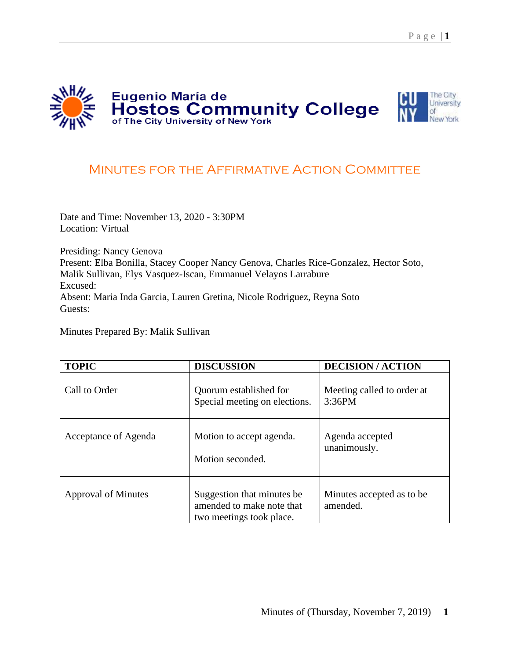

## MINUTES FOR THE AFFIRMATIVE ACTION COMMITTEE

Date and Time: November 13, 2020 - 3:30PM Location: Virtual

Presiding: Nancy Genova Present: Elba Bonilla, Stacey Cooper Nancy Genova, Charles Rice-Gonzalez, Hector Soto, Malik Sullivan, Elys Vasquez-Iscan, Emmanuel Velayos Larrabure Excused: Absent: Maria Inda Garcia, Lauren Gretina, Nicole Rodriguez, Reyna Soto Guests:

Minutes Prepared By: Malik Sullivan

| <b>TOPIC</b>               | <b>DISCUSSION</b>                                                                   | <b>DECISION/ACTION</b>                |
|----------------------------|-------------------------------------------------------------------------------------|---------------------------------------|
| Call to Order              | Quorum established for<br>Special meeting on elections.                             | Meeting called to order at<br>3:36PM  |
| Acceptance of Agenda       | Motion to accept agenda.<br>Motion seconded.                                        | Agenda accepted<br>unanimously.       |
| <b>Approval of Minutes</b> | Suggestion that minutes be<br>amended to make note that<br>two meetings took place. | Minutes accepted as to be<br>amended. |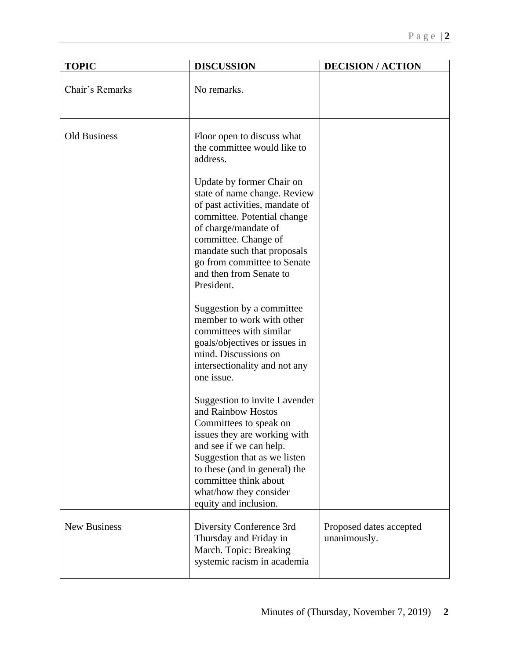| <b>TOPIC</b>        | <b>DISCUSSION</b>                                                                                                                                                                                                                                                                            | <b>DECISION/ACTION</b>                  |
|---------------------|----------------------------------------------------------------------------------------------------------------------------------------------------------------------------------------------------------------------------------------------------------------------------------------------|-----------------------------------------|
| Chair's Remarks     | No remarks.                                                                                                                                                                                                                                                                                  |                                         |
| <b>Old Business</b> | Floor open to discuss what<br>the committee would like to<br>address.<br>Update by former Chair on<br>state of name change. Review<br>of past activities, mandate of<br>committee. Potential change<br>of charge/mandate of<br>committee. Change of<br>mandate such that proposals           |                                         |
|                     | go from committee to Senate<br>and then from Senate to<br>President.                                                                                                                                                                                                                         |                                         |
|                     | Suggestion by a committee<br>member to work with other<br>committees with similar<br>goals/objectives or issues in<br>mind. Discussions on<br>intersectionality and not any<br>one issue.                                                                                                    |                                         |
|                     | <b>Suggestion to invite Lavender</b><br>and Rainbow Hostos<br>Committees to speak on<br>issues they are working with<br>and see if we can help.<br>Suggestion that as we listen<br>to these (and in general) the<br>committee think about<br>what/how they consider<br>equity and inclusion. |                                         |
| <b>New Business</b> | Diversity Conference 3rd<br>Thursday and Friday in<br>March. Topic: Breaking<br>systemic racism in academia                                                                                                                                                                                  | Proposed dates accepted<br>unanimously. |